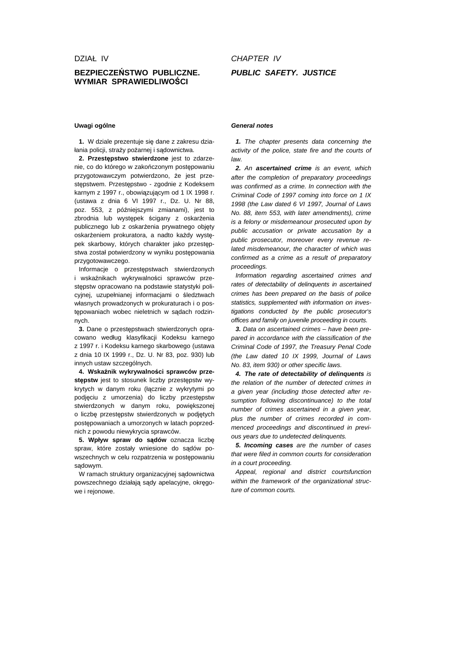## **BEZPIECZE**Ń**STWO PUBLICZNE. WYMIAR SPRAWIEDLIWO**Ś**CI**

## CHAPTER IV **PUBLIC SAFETY. JUSTICE**

## **Uwagi ogólne**

**1.** W dziale prezentuje się dane z zakresu działania policji, straży pożarnej i sądownictwa.

**2. Przest**ę**pstwo stwierdzone** jest to zdarzenie, co do którego w zakończonym postępowaniu przygotowawczym potwierdzono, że jest przestępstwem. Przestępstwo - zgodnie z Kodeksem karnym z 1997 r., obowiązującym od 1 IX 1998 r. (ustawa z dnia 6 VI 1997 r., Dz. U. Nr 88, poz. 553, z późniejszymi zmianami), jest to zbrodnia lub występek ścigany z oskarżenia publicznego lub z oskarżenia prywatnego objęty oskarżeniem prokuratora, a nadto każdy występek skarbowy, których charakter jako przestepstwa został potwierdzony w wyniku postępowania przygotowawczego.

Informacje o przestępstwach stwierdzonych i wskaźnikach wykrywalności sprawców przestępstw opracowano na podstawie statystyki policyjnej, uzupełnianej informacjami o śledztwach własnych prowadzonych w prokuraturach i o postępowaniach wobec nieletnich w sądach rodzinnych.

**3.** Dane o przestępstwach stwierdzonych opracowano według klasyfikacji Kodeksu karnego z 1997 r. i Kodeksu karnego skarbowego (ustawa z dnia 10 IX 1999 r., Dz. U. Nr 83, poz. 930) lub innych ustaw szczególnych.

**4. Wska**ź**nik wykrywalno**ś**ci sprawców przest**ę**pstw** jest to stosunek liczby przestępstw wykrytych w danym roku (łącznie z wykrytymi po podjęciu z umorzenia) do liczby przestępstw stwierdzonych w danym roku, powiększonej o liczbę przestępstw stwierdzonych w podjętych postępowaniach a umorzonych w latach poprzednich z powodu niewykrycia sprawców.

**5. Wpływ spraw do s**ą**dów** oznacza liczbę spraw, które zostały wniesione do sądów powszechnych w celu rozpatrzenia w postępowaniu sądowym.

W ramach struktury organizacyjnej sądownictwa powszechnego działają sądy apelacyjne, okręgowe i rejonowe.

## **General notes**

**1.** The chapter presents data concerning the activity of the police, state fire and the courts of law.

**2.** An **ascertained crime** is an event, which after the completion of preparatory proceedings was confirmed as a crime. In connection with the Criminal Code of 1997 coming into force on 1 IX 1998 (the Law dated 6 VI 1997, Journal of Laws No. 88, item 553, with later amendments), crime is a felony or misdemeanour prosecuted upon by public accusation or private accusation by a public prosecutor, moreover every revenue related misdemeanour, the character of which was confirmed as a crime as a result of preparatory proceedings.

Information regarding ascertained crimes and rates of detectability of delinquents in ascertained crimes has been prepared on the basis of police statistics, supplemented with information on investigations conducted by the public prosecutor's offices and family on juvenile proceeding in courts.

**3.** Data on ascertained crimes – have been prepared in accordance with the classification of the Criminal Code of 1997, the Treasury Penal Code (the Law dated 10 IX 1999, Journal of Laws No. 83, item 930) or other specific laws.

**4. The rate of detectability of delinquents** is the relation of the number of detected crimes in a given year (including those detected after resumption following discontinuance) to the total number of crimes ascertained in a given year, plus the number of crimes recorded in commenced proceedings and discontinued in previous years due to undetected delinquents.

**5. Incoming cases** are the number of cases that were filed in common courts for consideration in a court proceeding.

Appeal, regional and district courtsfunction within the framework of the organizational structure of common courts.